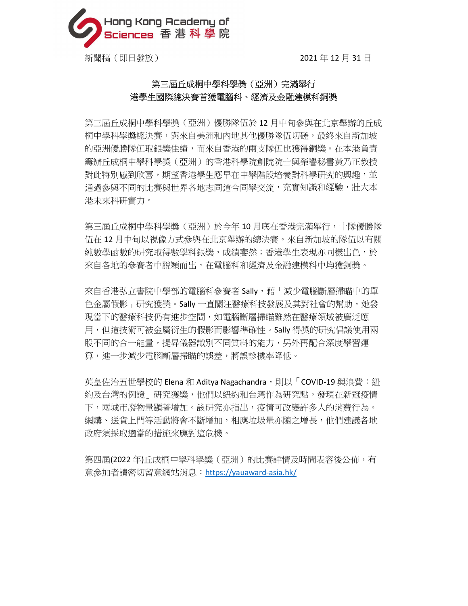

## 第三屆丘成桐中學科學獎(亞洲)完滿舉行 港學生國際總決賽首獲電腦科、經濟及金融建模科銅獎

第三屆丘成桐中學科學獎(亞洲)優勝隊伍於 12 月中旬參與在北京舉辦的丘成 桐中學科學獎總決賽,與來自美洲和內地其他優勝隊伍切磋,最終來自新加坡 的亞洲優勝隊伍取銀獎佳績,而來自香港的兩支隊伍也獲得銅獎。在本港負責 籌辦丘成桐中學科學獎(亞洲)的香港科學院創院院士與榮譽秘書黃乃正教授 對此特別感到欣喜,期望香港學生應早在中學階段培養對科學研究的興趣,並 通過參與不同的比賽與世界各地志同道合同學交流,充實知識和經驗,壯大本 港未來科研實力。

第三屆丘成桐中學科學獎(亞洲)於今年 10 月底在香港完滿舉行,十隊優勝隊 伍在 12 月中旬以視像方式參與在北京舉辦的總決賽。來自新加坡的隊伍以有關 純數學函數的研究取得數學科銀獎,成績斐然;香港學生表現亦同樣出色,於 來自各地的參賽者中脫穎而出,在電腦科和經濟及金融建模科中均獲銅獎。

來自香港弘立書院中學部的電腦科參賽者 Sally,藉「減少電腦斷層掃瞄中的單 色金屬假影」研究獲獎。Sally 一直關注醫療科技發展及其對社會的幫助,她發 現當下的醫療科技仍有進步空間,如雷腦斷層掃瞄雖然在醫療領域被廣泛應 用,但這技術可被金屬衍生的假影而影響準確性。Sally 得獎的研究倡議使用兩 股不同的合一能量,提昇儀器識別不同質料的能力,另外再配合深度學習運 算,進一步減少電腦斷層掃瞄的誤差,將誤診機率降低。

英皇佐治五世學校的 Elena 和 Aditya Nagachandra,則以「COVID-19 與浪費:紐 約及台灣的例證」研究獲獎,他們以紐約和台灣作為研究點,發現在新冠疫情 下,兩城市廢物量顯著增加。該研究亦指出,疫情可改變許多人的消費行為。 網購、送貨上門等活動將會不斷增加,相應垃圾量亦隨之增長,他們建議各地 政府須採取適當的措施來應對這危機。

第四屆(2022 年)丘成桐中學科學獎(亞洲)的比賽詳情及時間表容後公佈,有 意參加者請密切留意網站消息:https://yauaward-asia.hk/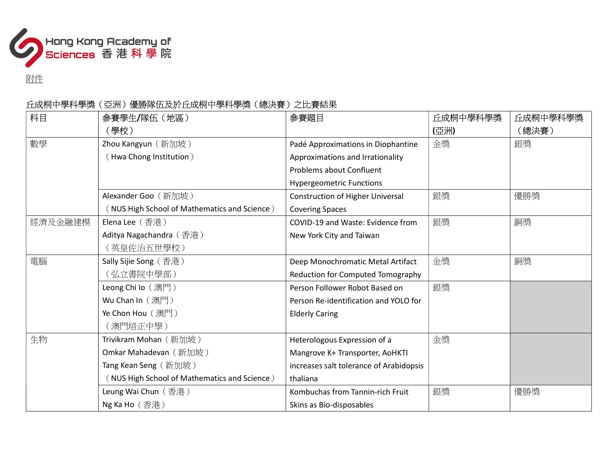

附件

# 丘成桐中學科學獎(亞洲)優勝隊伍及於丘成桐中學科學獎(總決賽)之比賽結果

| 科目      | 参賽學生/隊伍(地區)                                  | 參賽題目                                    | 丘成桐中學科學獎 | 丘成桐中學科學獎 |
|---------|----------------------------------------------|-----------------------------------------|----------|----------|
|         | (學校)                                         |                                         | (亞洲)     | (總決賽)    |
| 數學      | Zhou Kangyun (新加坡)                           | Padé Approximations in Diophantine      | 金獎       | 銀獎       |
|         | (Hwa Chong Institution)                      | Approximations and Irrationality        |          |          |
|         |                                              | Problems about Confluent                |          |          |
|         |                                              | <b>Hypergeometric Functions</b>         |          |          |
|         | Alexander Goo (新加坡)                          | <b>Construction of Higher Universal</b> | 銀獎       | 優勝獎      |
|         | NUS High School of Mathematics and Science)  | <b>Covering Spaces</b>                  |          |          |
| 經濟及金融建模 | Elena Lee (香港)                               | COVID-19 and Waste: Evidence from       | 銀獎       | 銅獎       |
|         | Aditya Nagachandra (香港)                      | New York City and Taiwan                |          |          |
|         | (英皇佐治五世學校)                                   |                                         |          |          |
| 電腦      | Sally Sijie Song (香港)                        | Deep Monochromatic Metal Artifact       | 金獎       | 銅獎       |
|         | (弘立書院中學部)                                    | Reduction for Computed Tomography       |          |          |
|         | Leong Chi Io (澳門)                            | Person Follower Robot Based on          | 銀獎       |          |
|         | Wu Chan In (澳門)                              | Person Re-identification and YOLO for   |          |          |
|         | Ye Chon Hou (澳門)                             | <b>Elderly Caring</b>                   |          |          |
|         | (澳門培正中學)                                     |                                         |          |          |
| 生物      | Trivikram Mohan (新加坡)                        | Heterologous Expression of a            | 金獎       |          |
|         | Omkar Mahadevan (新加坡)                        | Mangrove K+ Transporter, AoHKTI         |          |          |
|         | Tang Kean Seng (新加坡)                         | increases salt tolerance of Arabidopsis |          |          |
|         | (NUS High School of Mathematics and Science) | thaliana                                |          |          |
|         | Leung Wai Chun (香港)                          | Kombuchas from Tannin-rich Fruit        | 銀獎       | 優勝獎      |
|         | Ng Ka Ho (香港)                                | Skins as Bio-disposables                |          |          |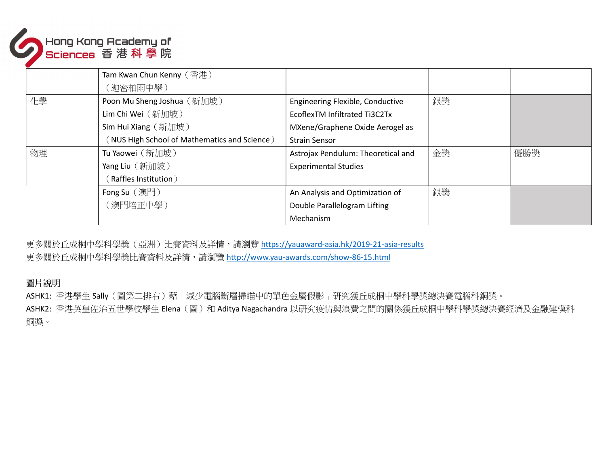

| Tam Kwan Chun Kenny (香港)                     |                                    |    |     |
|----------------------------------------------|------------------------------------|----|-----|
| (迦密柏雨中學)                                     |                                    |    |     |
| Poon Mu Sheng Joshua (新加坡)                   | Engineering Flexible, Conductive   | 銀獎 |     |
| Lim Chi Wei (新加坡)                            | EcoflexTM Infiltrated Ti3C2Tx      |    |     |
| Sim Hui Xiang (新加坡)                          | MXene/Graphene Oxide Aerogel as    |    |     |
| (NUS High School of Mathematics and Science) | <b>Strain Sensor</b>               |    |     |
| Tu Yaowei (新加坡)                              | Astrojax Pendulum: Theoretical and | 金獎 | 優勝獎 |
| Yang Liu (新加坡)                               | <b>Experimental Studies</b>        |    |     |
| Raffles Institution)                         |                                    |    |     |
| Fong Su (澳門)                                 | An Analysis and Optimization of    | 銀獎 |     |
| (澳門培正中學)                                     | Double Parallelogram Lifting       |    |     |
|                                              | Mechanism                          |    |     |
|                                              |                                    |    |     |

更多關於丘成桐中學科學獎(亞洲)比賽資料及詳情,請瀏覽 https://yauaward-asia.hk/2019-21-asia-results 更多關於丘成桐中學科學獎比賽資料及詳情,請瀏覽 http://www.yau-awards.com/show-86-15.html

### 圖片說明

ASHK1: 香港學生 Sally (圖第二排右)藉「減少電腦斷層掃瞄中的單色金屬假影」研究獲丘成桐中學科學獎總決賽電腦科銅獎。

ASHK2: 香港英皇佐治五世學校學生 Elena (圖)和 Aditya Nagachandra 以研究疫情與浪費之間的關係獲丘成桐中學科學獎總決賽經濟及金融建模科 銅獎。